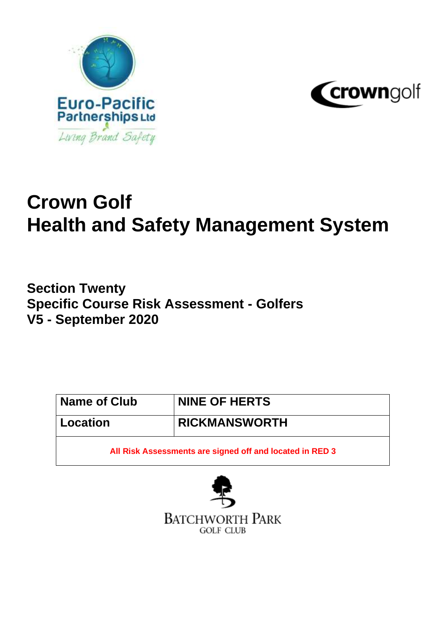



# **Crown Golf Health and Safety Management System**

**Section Twenty Specific Course Risk Assessment - Golfers V5 - September 2020**

| <b>Name of Club</b> | <b>NINE OF HERTS</b>                                     |  |  |
|---------------------|----------------------------------------------------------|--|--|
| <b>Location</b>     | <b>RICKMANSWORTH</b>                                     |  |  |
|                     | All Risk Assessments are signed off and located in RED 3 |  |  |

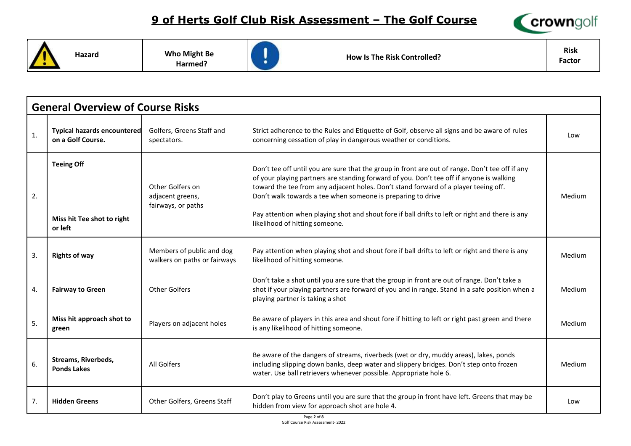

**Hazard Who Might Be** 

**Harmed?**



**How Is The Risk Controlled?**

**Risk Factor**

|                | <b>General Overview of Course Risks</b>                    |                                                            |                                                                                                                                                                                                                                                                                                                                                                                                                                                                                        |               |  |  |  |
|----------------|------------------------------------------------------------|------------------------------------------------------------|----------------------------------------------------------------------------------------------------------------------------------------------------------------------------------------------------------------------------------------------------------------------------------------------------------------------------------------------------------------------------------------------------------------------------------------------------------------------------------------|---------------|--|--|--|
| $\mathbf{1}$ . | <b>Typical hazards encountered</b><br>on a Golf Course.    | Golfers, Greens Staff and<br>spectators.                   | Strict adherence to the Rules and Etiquette of Golf, observe all signs and be aware of rules<br>concerning cessation of play in dangerous weather or conditions.                                                                                                                                                                                                                                                                                                                       | Low           |  |  |  |
| 2.             | <b>Teeing Off</b><br>Miss hit Tee shot to right<br>or left | Other Golfers on<br>adjacent greens,<br>fairways, or paths | Don't tee off until you are sure that the group in front are out of range. Don't tee off if any<br>of your playing partners are standing forward of you. Don't tee off if anyone is walking<br>toward the tee from any adjacent holes. Don't stand forward of a player teeing off.<br>Don't walk towards a tee when someone is preparing to drive<br>Pay attention when playing shot and shout fore if ball drifts to left or right and there is any<br>likelihood of hitting someone. | Medium        |  |  |  |
| 3.             | <b>Rights of way</b>                                       | Members of public and dog<br>walkers on paths or fairways  | Pay attention when playing shot and shout fore if ball drifts to left or right and there is any<br>likelihood of hitting someone.                                                                                                                                                                                                                                                                                                                                                      | Medium        |  |  |  |
| 4.             | <b>Fairway to Green</b>                                    | <b>Other Golfers</b>                                       | Don't take a shot until you are sure that the group in front are out of range. Don't take a<br>shot if your playing partners are forward of you and in range. Stand in a safe position when a<br>playing partner is taking a shot                                                                                                                                                                                                                                                      | Medium        |  |  |  |
| 5.             | Miss hit approach shot to<br>green                         | Players on adjacent holes                                  | Be aware of players in this area and shout fore if hitting to left or right past green and there<br>is any likelihood of hitting someone.                                                                                                                                                                                                                                                                                                                                              | Medium        |  |  |  |
| 6.             | <b>Streams, Riverbeds,</b><br><b>Ponds Lakes</b>           | All Golfers                                                | Be aware of the dangers of streams, riverbeds (wet or dry, muddy areas), lakes, ponds<br>including slipping down banks, deep water and slippery bridges. Don't step onto frozen<br>water. Use ball retrievers whenever possible. Appropriate hole 6.                                                                                                                                                                                                                                   | <b>Medium</b> |  |  |  |
| 7.             | <b>Hidden Greens</b>                                       | Other Golfers, Greens Staff                                | Don't play to Greens until you are sure that the group in front have left. Greens that may be<br>hidden from view for approach shot are hole 4.                                                                                                                                                                                                                                                                                                                                        | Low           |  |  |  |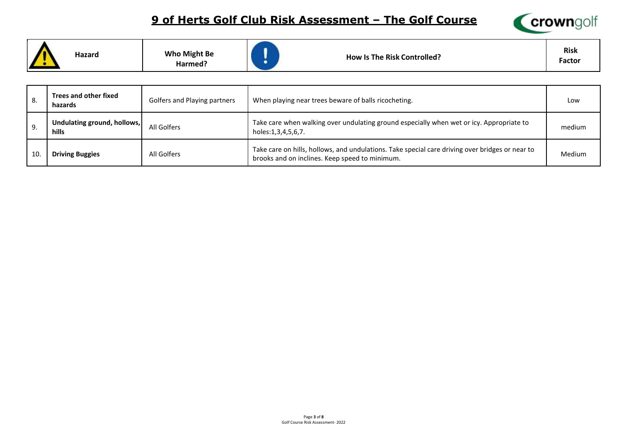

|  | Hazard | <b>Who Might Be</b><br>Harmed? | <b>How Is The Risk Controlled?</b> | <b>Risk</b><br><b>Factor</b> |
|--|--------|--------------------------------|------------------------------------|------------------------------|
|--|--------|--------------------------------|------------------------------------|------------------------------|

| 8. | Trees and other fixed<br>hazards            | Golfers and Playing partners                                                                                                                                     | When playing near trees beware of balls ricocheting.                                                           | Low           |
|----|---------------------------------------------|------------------------------------------------------------------------------------------------------------------------------------------------------------------|----------------------------------------------------------------------------------------------------------------|---------------|
| 9. | Undulating ground, hollows,<br><b>hills</b> | All Golfers                                                                                                                                                      | Take care when walking over undulating ground especially when wet or icy. Appropriate to<br>holes:1,3,4,5,6,7. | medium        |
| 10 | <b>Driving Buggies</b>                      | Take care on hills, hollows, and undulations. Take special care driving over bridges or near to<br>All Golfers<br>brooks and on inclines. Keep speed to minimum. |                                                                                                                | <b>Medium</b> |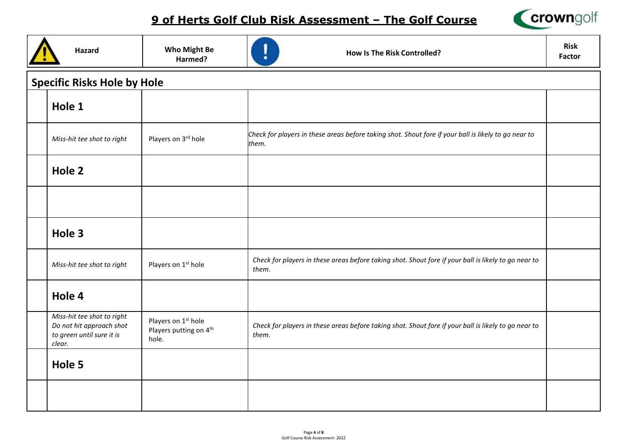

| <b>Hazard</b>                                                                                 | <b>Who Might Be</b><br>Harmed?                                     | <b>How Is The Risk Controlled?</b>                                                                            | <b>Risk</b><br><b>Factor</b> |
|-----------------------------------------------------------------------------------------------|--------------------------------------------------------------------|---------------------------------------------------------------------------------------------------------------|------------------------------|
| <b>Specific Risks Hole by Hole</b>                                                            |                                                                    |                                                                                                               |                              |
| Hole 1                                                                                        |                                                                    |                                                                                                               |                              |
| Miss-hit tee shot to right                                                                    | Players on 3rd hole                                                | Check for players in these areas before taking shot. Shout fore if your ball is likely to go near to<br>them. |                              |
| Hole 2                                                                                        |                                                                    |                                                                                                               |                              |
|                                                                                               |                                                                    |                                                                                                               |                              |
| Hole 3                                                                                        |                                                                    |                                                                                                               |                              |
| Miss-hit tee shot to right                                                                    | Players on 1 <sup>st</sup> hole                                    | Check for players in these areas before taking shot. Shout fore if your ball is likely to go near to<br>them. |                              |
| Hole 4                                                                                        |                                                                    |                                                                                                               |                              |
| Miss-hit tee shot to right<br>Do not hit approach shot<br>to green until sure it is<br>clear. | Players on 1 <sup>st</sup> hole<br>Players putting on 4th<br>hole. | Check for players in these areas before taking shot. Shout fore if your ball is likely to go near to<br>them. |                              |
| Hole 5                                                                                        |                                                                    |                                                                                                               |                              |
|                                                                                               |                                                                    |                                                                                                               |                              |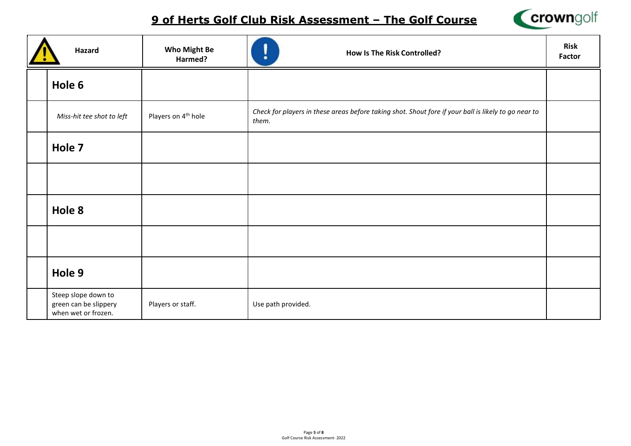

| Hazard                                                              | <b>Who Might Be</b><br>Harmed?  | <b>How Is The Risk Controlled?</b><br>٠                                                                       | <b>Risk</b><br>Factor |
|---------------------------------------------------------------------|---------------------------------|---------------------------------------------------------------------------------------------------------------|-----------------------|
| Hole 6                                                              |                                 |                                                                                                               |                       |
| Miss-hit tee shot to left                                           | Players on 4 <sup>th</sup> hole | Check for players in these areas before taking shot. Shout fore if your ball is likely to go near to<br>them. |                       |
| Hole 7                                                              |                                 |                                                                                                               |                       |
|                                                                     |                                 |                                                                                                               |                       |
| Hole 8                                                              |                                 |                                                                                                               |                       |
|                                                                     |                                 |                                                                                                               |                       |
| Hole 9                                                              |                                 |                                                                                                               |                       |
| Steep slope down to<br>green can be slippery<br>when wet or frozen. | Players or staff.               | Use path provided.                                                                                            |                       |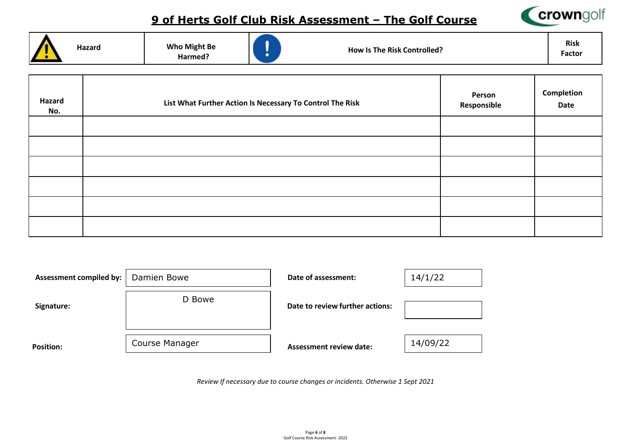

| Hazard<br>No. | List What Further Action Is Necessary To Control The Risk | Person<br>Responsible | Completion<br>Date |
|---------------|-----------------------------------------------------------|-----------------------|--------------------|
|               |                                                           |                       |                    |
|               |                                                           |                       |                    |
|               |                                                           |                       |                    |
|               |                                                           |                       |                    |
|               |                                                           |                       |                    |
|               |                                                           |                       |                    |

| <b>Assessment compiled by:</b> | Damien Bowe    | Date of assessment:             | 14/1/22  |
|--------------------------------|----------------|---------------------------------|----------|
| Signature:                     | D Bowe         | Date to review further actions: |          |
| <b>Position:</b>               | Course Manager | <b>Assessment review date:</b>  | 14/09/22 |

*Review If necessary due to course changes or incidents. Otherwise 1 Sept 2021*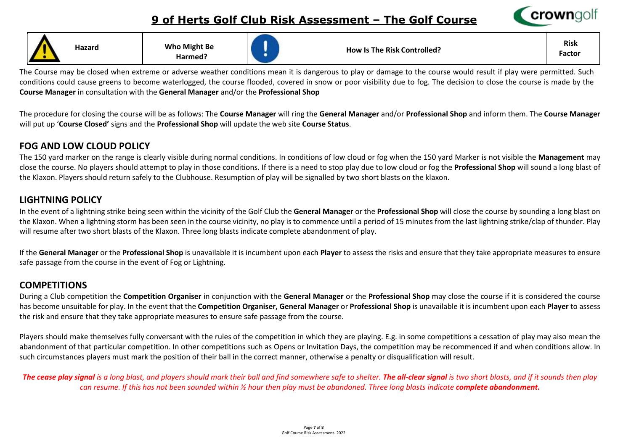

| m | Hazard | <b>Who Might Be</b><br>Harmed? |  |  | <b>How Is The Risk Controlled?</b> | <b>Risk</b><br>Factor |
|---|--------|--------------------------------|--|--|------------------------------------|-----------------------|
|---|--------|--------------------------------|--|--|------------------------------------|-----------------------|

The Course may be closed when extreme or adverse weather conditions mean it is dangerous to play or damage to the course would result if play were permitted. Such conditions could cause greens to become waterlogged, the course flooded, covered in snow or poor visibility due to fog. The decision to close the course is made by the **Course Manager** in consultation with the **General Manager** and/or the **Professional Shop** 

The procedure for closing the course will be as follows: The **Course Manager** will ring the **General Manager** and/or **Professional Shop** and inform them. The **Course Manager**  will put up '**Course Closed'** signs and the **Professional Shop** will update the web site **Course Status**.

#### **FOG AND LOW CLOUD POLICY**

The 150 yard marker on the range is clearly visible during normal conditions. In conditions of low cloud or fog when the 150 yard Marker is not visible the **Management** may close the course. No players should attempt to play in those conditions. If there is a need to stop play due to low cloud or fog the **Professional Shop** will sound a long blast of the Klaxon. Players should return safely to the Clubhouse. Resumption of play will be signalled by two short blasts on the klaxon.

### **LIGHTNING POLICY**

In the event of a lightning strike being seen within the vicinity of the Golf Club the **General Manager** or the **Professional Shop** will close the course by sounding a long blast on the Klaxon. When a lightning storm has been seen in the course vicinity, no play is to commence until a period of 15 minutes from the last lightning strike/clap of thunder. Play will resume after two short blasts of the Klaxon. Three long blasts indicate complete abandonment of play.

If the **General Manager** or the **Professional Shop** is unavailable it is incumbent upon each **Player** to assess the risks and ensure that they take appropriate measures to ensure safe passage from the course in the event of Fog or Lightning.

## **COMPETITIONS**

During a Club competition the **Competition Organiser** in conjunction with the **General Manager** or the **Professional Shop** may close the course if it is considered the course has become unsuitable for play. In the event that the **Competition Organiser, General Manager** or **Professional Shop** is unavailable it is incumbent upon each **Player** to assess the risk and ensure that they take appropriate measures to ensure safe passage from the course.

Players should make themselves fully conversant with the rules of the competition in which they are playing. E.g. in some competitions a cessation of play may also mean the abandonment of that particular competition. In other competitions such as Opens or Invitation Days, the competition may be recommenced if and when conditions allow. In such circumstances players must mark the position of their ball in the correct manner, otherwise a penalty or disqualification will result.

The cease play signal is a long blast, and players should mark their ball and find somewhere safe to shelter. The all-clear signal is two short blasts, and if it sounds then play can resume. If this has not been sounded within ½ hour then play must be abandoned. Three long blasts indicate **complete abandonment.**